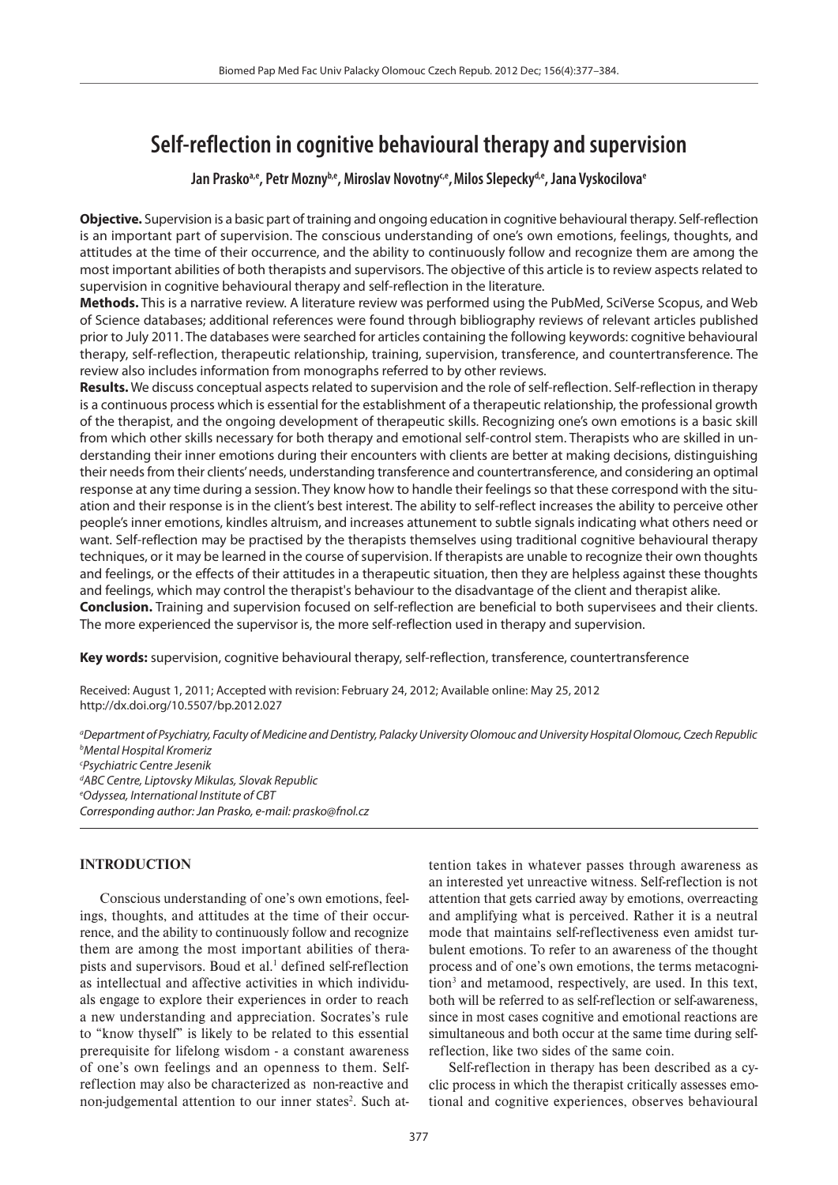# **Self-reflection in cognitive behavioural therapy and supervision**

Jan Prasko<sup>a,e</sup>, Petr Mozny<sup>b,e</sup>, Miroslav Novotny<sup>ce</sup>, Milos Slepecky<sup>d,e</sup>, Jana Vyskocilova<sup>e</sup>

**Objective.** Supervision is a basic part of training and ongoing education in cognitive behavioural therapy. Self-reflection is an important part of supervision. The conscious understanding of one's own emotions, feelings, thoughts, and attitudes at the time of their occurrence, and the ability to continuously follow and recognize them are among the most important abilities of both therapists and supervisors. The objective of this article is to review aspects related to supervision in cognitive behavioural therapy and self-reflection in the literature.

**Methods.** This is a narrative review. A literature review was performed using the PubMed, SciVerse Scopus, and Web of Science databases; additional references were found through bibliography reviews of relevant articles published prior to July 2011. The databases were searched for articles containing the following keywords: cognitive behavioural therapy, self-reflection, therapeutic relationship, training, supervision, transference, and countertransference. The review also includes information from monographs referred to by other reviews.

**Results.** We discuss conceptual aspects related to supervision and the role of self-reflection. Self-reflection in therapy is a continuous process which is essential for the establishment of a therapeutic relationship, the professional growth of the therapist, and the ongoing development of therapeutic skills. Recognizing one's own emotions is a basic skill from which other skills necessary for both therapy and emotional self-control stem. Therapists who are skilled in understanding their inner emotions during their encounters with clients are better at making decisions, distinguishing their needs from their clients' needs, understanding transference and countertransference, and considering an optimal response at any time during a session. They know how to handle their feelings so that these correspond with the situation and their response is in the client's best interest. The ability to self-reflect increases the ability to perceive other people's inner emotions, kindles altruism, and increases attunement to subtle signals indicating what others need or want. Self-reflection may be practised by the therapists themselves using traditional cognitive behavioural therapy techniques, or it may be learned in the course of supervision. If therapists are unable to recognize their own thoughts and feelings, or the effects of their attitudes in a therapeutic situation, then they are helpless against these thoughts and feelings, which may control the therapist's behaviour to the disadvantage of the client and therapist alike. **Conclusion.** Training and supervision focused on self-reflection are beneficial to both supervisees and their clients. The more experienced the supervisor is, the more self-reflection used in therapy and supervision.

**Key words:** supervision, cognitive behavioural therapy, self-reflection, transference, countertransference

Received: August 1, 2011; Accepted with revision: February 24, 2012; Available online: May 25, 2012 http://dx.doi.org/10.5507/bp.2012.027

*a Department of Psychiatry, Faculty of Medicine and Dentistry, Palacky University Olomouc and University Hospital Olomouc, Czech Republic b Mental Hospital Kromeriz c Psychiatric Centre Jesenik d ABC Centre, Liptovsky Mikulas, Slovak Republic e Odyssea, International Institute of CBT*

*Corresponding author: Jan Prasko, e-mail: prasko@fnol.cz*

## **INTRODUCTION**

Conscious understanding of one's own emotions, feelings, thoughts, and attitudes at the time of their occurrence, and the ability to continuously follow and recognize them are among the most important abilities of therapists and supervisors. Boud et al.<sup>1</sup> defined self-reflection as intellectual and affective activities in which individuals engage to explore their experiences in order to reach a new understanding and appreciation. Socrates's rule to "know thyself" is likely to be related to this essential prerequisite for lifelong wisdom - a constant awareness of one's own feelings and an openness to them. Selfreflection may also be characterized as non-reactive and non-judgemental attention to our inner states<sup>2</sup>. Such attention takes in whatever passes through awareness as an interested yet unreactive witness. Self-reflection is not attention that gets carried away by emotions, overreacting and amplifying what is perceived. Rather it is a neutral mode that maintains self-reflectiveness even amidst turbulent emotions. To refer to an awareness of the thought process and of one's own emotions, the terms metacognition<sup>3</sup> and metamood, respectively, are used. In this text, both will be referred to as self-reflection or self-awareness, since in most cases cognitive and emotional reactions are simultaneous and both occur at the same time during selfreflection, like two sides of the same coin.

Self-reflection in therapy has been described as a cyclic process in which the therapist critically assesses emotional and cognitive experiences, observes behavioural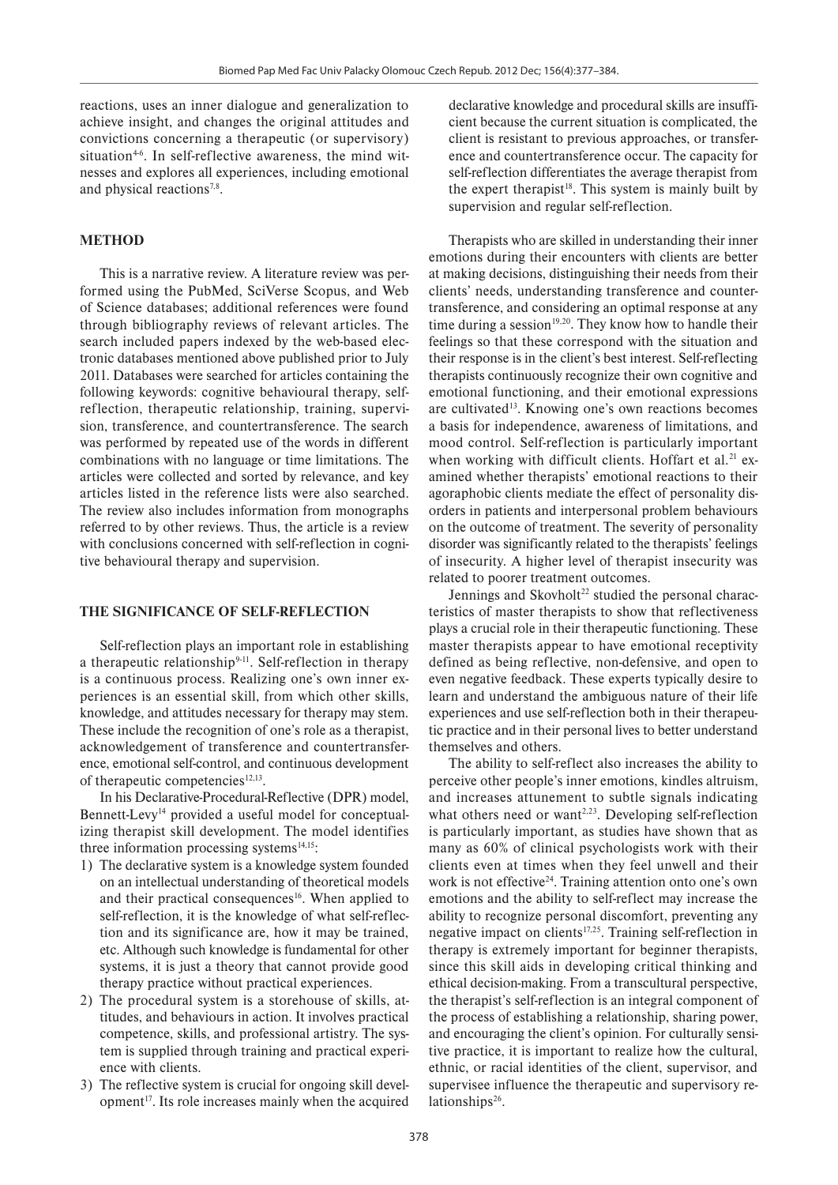reactions, uses an inner dialogue and generalization to achieve insight, and changes the original attitudes and convictions concerning a therapeutic (or supervisory) situation<sup>46</sup>. In self-reflective awareness, the mind witnesses and explores all experiences, including emotional and physical reactions<sup>7,8</sup>.

#### **METHOD**

This is a narrative review. A literature review was performed using the PubMed, SciVerse Scopus, and Web of Science databases; additional references were found through bibliography reviews of relevant articles. The search included papers indexed by the web-based electronic databases mentioned above published prior to July 2011. Databases were searched for articles containing the following keywords: cognitive behavioural therapy, selfreflection, therapeutic relationship, training, supervision, transference, and countertransference. The search was performed by repeated use of the words in different combinations with no language or time limitations. The articles were collected and sorted by relevance, and key articles listed in the reference lists were also searched. The review also includes information from monographs referred to by other reviews. Thus, the article is a review with conclusions concerned with self-reflection in cognitive behavioural therapy and supervision.

#### **THE SIGNIFICANCE OF SELF-REFLECTION**

Self-reflection plays an important role in establishing a therapeutic relationship<sup>9-11</sup>. Self-reflection in therapy is a continuous process. Realizing one's own inner experiences is an essential skill, from which other skills, knowledge, and attitudes necessary for therapy may stem. These include the recognition of one's role as a therapist, acknowledgement of transference and countertransference, emotional self-control, and continuous development of therapeutic competencies $12,13$ .

In his Declarative-Procedural-Reflective (DPR) model, Bennett-Levy14 provided a useful model for conceptualizing therapist skill development. The model identifies three information processing systems $14,15$ :

- 1) The declarative system is a knowledge system founded on an intellectual understanding of theoretical models and their practical consequences<sup>16</sup>. When applied to self-reflection, it is the knowledge of what self-reflection and its significance are, how it may be trained, etc. Although such knowledge is fundamental for other systems, it is just a theory that cannot provide good therapy practice without practical experiences.
- 2) The procedural system is a storehouse of skills, attitudes, and behaviours in action. It involves practical competence, skills, and professional artistry. The system is supplied through training and practical experience with clients.
- 3) The reflective system is crucial for ongoing skill development<sup>17</sup>. Its role increases mainly when the acquired

declarative knowledge and procedural skills are insufficient because the current situation is complicated, the client is resistant to previous approaches, or transference and countertransference occur. The capacity for self-reflection differentiates the average therapist from the expert therapist<sup>18</sup>. This system is mainly built by supervision and regular self-reflection.

Therapists who are skilled in understanding their inner emotions during their encounters with clients are better at making decisions, distinguishing their needs from their clients' needs, understanding transference and countertransference, and considering an optimal response at any time during a session<sup>19,20</sup>. They know how to handle their feelings so that these correspond with the situation and their response is in the client's best interest. Self-reflecting therapists continuously recognize their own cognitive and emotional functioning, and their emotional expressions are cultivated<sup>13</sup>. Knowing one's own reactions becomes a basis for independence, awareness of limitations, and mood control. Self-reflection is particularly important when working with difficult clients. Hoffart et al.<sup>21</sup> examined whether therapists' emotional reactions to their agoraphobic clients mediate the effect of personality disorders in patients and interpersonal problem behaviours on the outcome of treatment. The severity of personality disorder was significantly related to the therapists' feelings of insecurity. A higher level of therapist insecurity was related to poorer treatment outcomes.

Jennings and Skovholt<sup>22</sup> studied the personal characteristics of master therapists to show that reflectiveness plays a crucial role in their therapeutic functioning. These master therapists appear to have emotional receptivity defined as being reflective, non-defensive, and open to even negative feedback. These experts typically desire to learn and understand the ambiguous nature of their life experiences and use self-reflection both in their therapeutic practice and in their personal lives to better understand themselves and others.

The ability to self-reflect also increases the ability to perceive other people's inner emotions, kindles altruism, and increases attunement to subtle signals indicating what others need or want $2,23$ . Developing self-reflection is particularly important, as studies have shown that as many as 60% of clinical psychologists work with their clients even at times when they feel unwell and their work is not effective<sup>24</sup>. Training attention onto one's own emotions and the ability to self-reflect may increase the ability to recognize personal discomfort, preventing any negative impact on clients<sup>17,25</sup>. Training self-reflection in therapy is extremely important for beginner therapists, since this skill aids in developing critical thinking and ethical decision-making. From a transcultural perspective, the therapist's self-reflection is an integral component of the process of establishing a relationship, sharing power, and encouraging the client's opinion. For culturally sensitive practice, it is important to realize how the cultural, ethnic, or racial identities of the client, supervisor, and supervisee influence the therapeutic and supervisory relationships $26$ .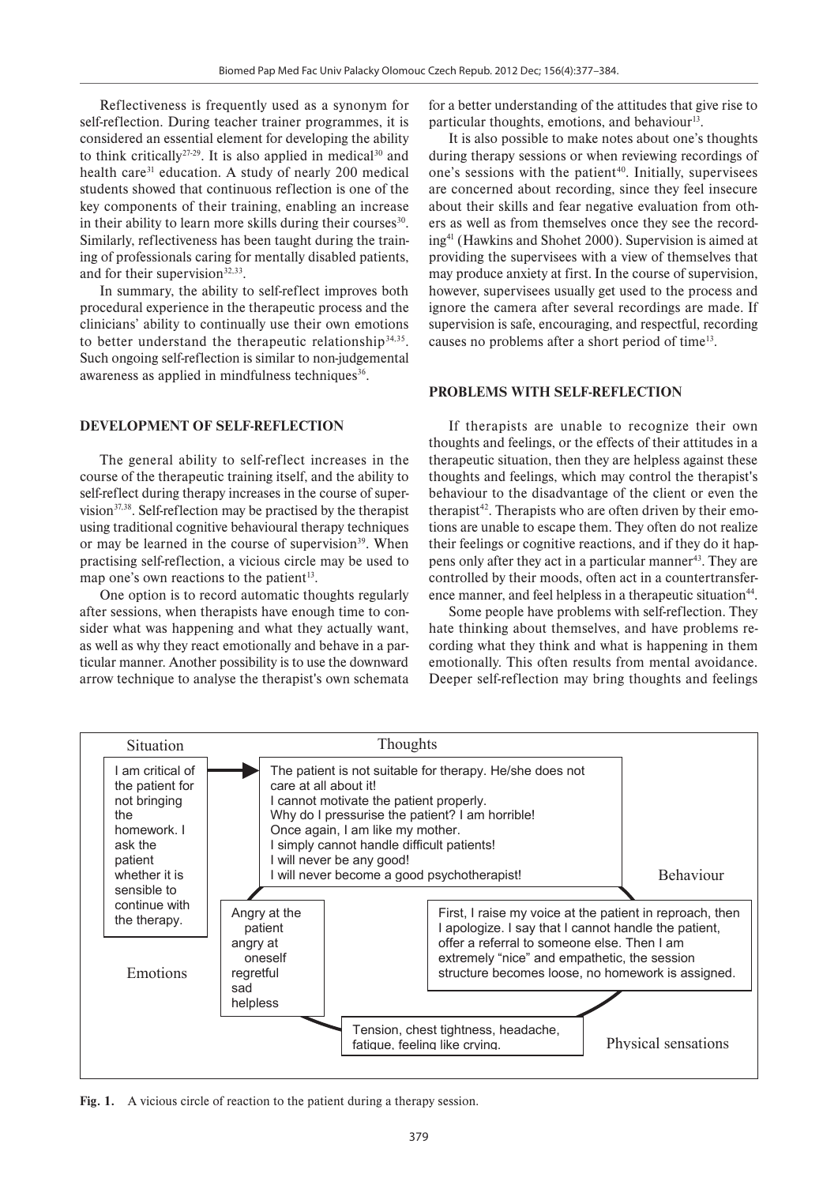Reflectiveness is frequently used as a synonym for self-reflection. During teacher trainer programmes, it is considered an essential element for developing the ability to think critically<sup>27-29</sup>. It is also applied in medical<sup>30</sup> and health care<sup>31</sup> education. A study of nearly 200 medical students showed that continuous reflection is one of the key components of their training, enabling an increase in their ability to learn more skills during their courses<sup>30</sup>. Similarly, reflectiveness has been taught during the training of professionals caring for mentally disabled patients, and for their supervision<sup>32,33</sup>.

In summary, the ability to self-reflect improves both procedural experience in the therapeutic process and the clinicians' ability to continually use their own emotions to better understand the therapeutic relationship<sup>34,35</sup>. Such ongoing self-reflection is similar to non-judgemental awareness as applied in mindfulness techniques<sup>36</sup>.

#### **DEVELOPMENT OF SELF-REFLECTION**

The general ability to self-reflect increases in the course of the therapeutic training itself, and the ability to self-reflect during therapy increases in the course of supervision $37,38$ . Self-reflection may be practised by the therapist using traditional cognitive behavioural therapy techniques or may be learned in the course of supervision<sup>39</sup>. When practising self-reflection, a vicious circle may be used to map one's own reactions to the patient<sup>13</sup>.

One option is to record automatic thoughts regularly after sessions, when therapists have enough time to consider what was happening and what they actually want, as well as why they react emotionally and behave in a particular manner. Another possibility is to use the downward arrow technique to analyse the therapist's own schemata for a better understanding of the attitudes that give rise to particular thoughts, emotions, and behaviour $13$ .

It is also possible to make notes about one's thoughts during therapy sessions or when reviewing recordings of one's sessions with the patient<sup>40</sup>. Initially, supervisees are concerned about recording, since they feel insecure about their skills and fear negative evaluation from others as well as from themselves once they see the recording41 (Hawkins and Shohet 2000). Supervision is aimed at providing the supervisees with a view of themselves that may produce anxiety at first. In the course of supervision, however, supervisees usually get used to the process and ignore the camera after several recordings are made. If supervision is safe, encouraging, and respectful, recording causes no problems after a short period of time13.

#### **PROBLEMS WITH SELF-REFLECTION**

If therapists are unable to recognize their own thoughts and feelings, or the effects of their attitudes in a therapeutic situation, then they are helpless against these thoughts and feelings, which may control the therapist's behaviour to the disadvantage of the client or even the therapist<sup>42</sup>. Therapists who are often driven by their emotions are unable to escape them. They often do not realize their feelings or cognitive reactions, and if they do it happens only after they act in a particular manner<sup>43</sup>. They are controlled by their moods, often act in a countertransference manner, and feel helpless in a therapeutic situation<sup>44</sup>.

Some people have problems with self-reflection. They hate thinking about themselves, and have problems recording what they think and what is happening in them emotionally. This often results from mental avoidance. Deeper self-reflection may bring thoughts and feelings



**Fig. 1.** A vicious circle of reaction to the patient during a therapy session.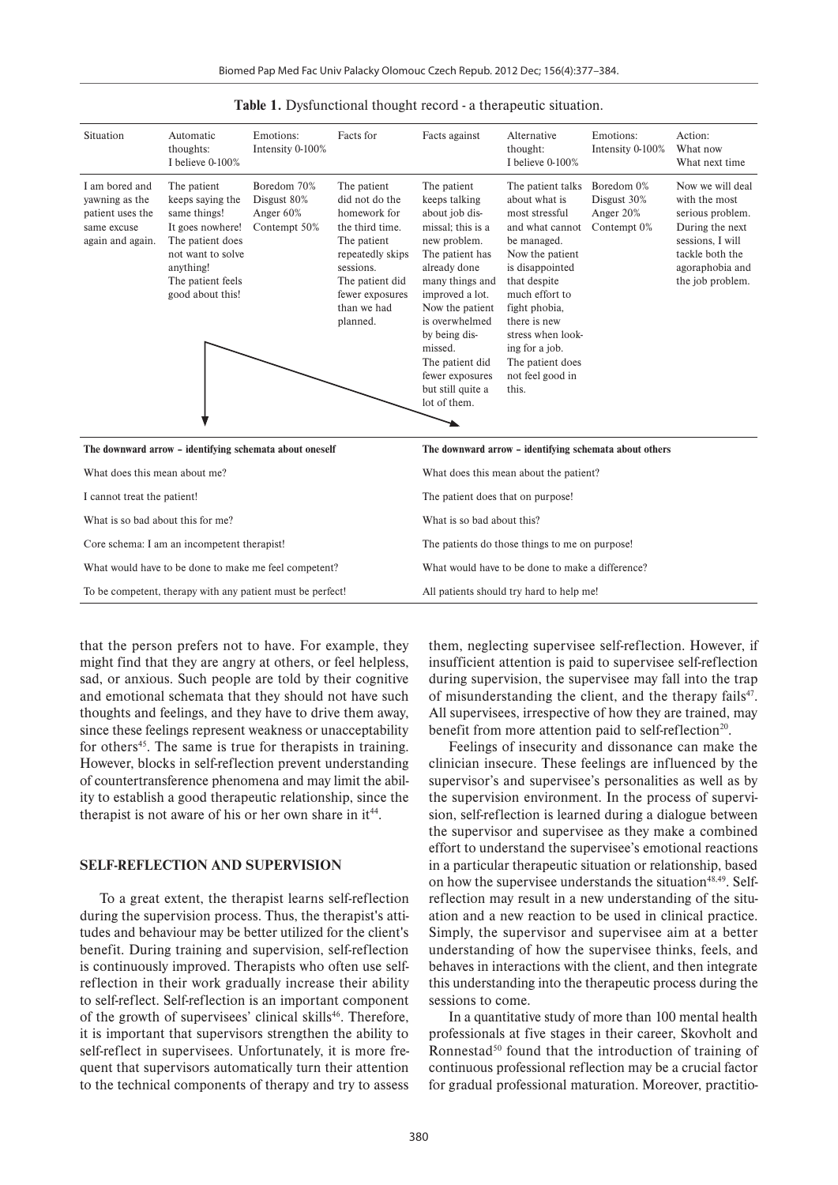| Situation                                                                               | Automatic<br>thoughts:<br>I believe $0-100\%$                                                                                                                      | Emotions:<br>Intensity 0-100%                           | Facts for                                                                                                                                                                         | Facts against                                                                                                                                                                                                                                                                                            | Alternative<br>thought:<br>I believe $0-100\%$                                                                                                                                                                                                                                          | Emotions:<br>Intensity 0-100%                         | Action:<br>What now<br>What next time                                                                                                                  |
|-----------------------------------------------------------------------------------------|--------------------------------------------------------------------------------------------------------------------------------------------------------------------|---------------------------------------------------------|-----------------------------------------------------------------------------------------------------------------------------------------------------------------------------------|----------------------------------------------------------------------------------------------------------------------------------------------------------------------------------------------------------------------------------------------------------------------------------------------------------|-----------------------------------------------------------------------------------------------------------------------------------------------------------------------------------------------------------------------------------------------------------------------------------------|-------------------------------------------------------|--------------------------------------------------------------------------------------------------------------------------------------------------------|
| I am bored and<br>yawning as the<br>patient uses the<br>same excuse<br>again and again. | The patient<br>keeps saying the<br>same things!<br>It goes nowhere!<br>The patient does<br>not want to solve<br>anything!<br>The patient feels<br>good about this! | Boredom 70%<br>Disgust 80%<br>Anger 60%<br>Contempt 50% | The patient<br>did not do the<br>homework for<br>the third time.<br>The patient<br>repeatedly skips<br>sessions.<br>The patient did<br>fewer exposures<br>than we had<br>planned. | The patient<br>keeps talking<br>about job dis-<br>missal: this is a<br>new problem.<br>The patient has<br>already done<br>many things and<br>improved a lot.<br>Now the patient<br>is overwhelmed<br>by being dis-<br>missed.<br>The patient did<br>fewer exposures<br>but still quite a<br>lot of them. | The patient talks<br>about what is<br>most stressful<br>and what cannot<br>be managed.<br>Now the patient<br>is disappointed<br>that despite<br>much effort to<br>fight phobia,<br>there is new<br>stress when look-<br>ing for a job.<br>The patient does<br>not feel good in<br>this. | Boredom 0%<br>Disgust 30%<br>Anger 20%<br>Contempt 0% | Now we will deal<br>with the most<br>serious problem.<br>During the next<br>sessions, I will<br>tackle both the<br>agoraphobia and<br>the job problem. |
| The downward arrow - identifying schemata about oneself                                 |                                                                                                                                                                    |                                                         |                                                                                                                                                                                   | The downward arrow - identifying schemata about others                                                                                                                                                                                                                                                   |                                                                                                                                                                                                                                                                                         |                                                       |                                                                                                                                                        |
| What does this mean about me?                                                           |                                                                                                                                                                    |                                                         |                                                                                                                                                                                   | What does this mean about the patient?                                                                                                                                                                                                                                                                   |                                                                                                                                                                                                                                                                                         |                                                       |                                                                                                                                                        |
| I cannot treat the patient!                                                             |                                                                                                                                                                    |                                                         |                                                                                                                                                                                   | The patient does that on purpose!                                                                                                                                                                                                                                                                        |                                                                                                                                                                                                                                                                                         |                                                       |                                                                                                                                                        |
| What is so bad about this for me?                                                       |                                                                                                                                                                    |                                                         |                                                                                                                                                                                   | What is so bad about this?                                                                                                                                                                                                                                                                               |                                                                                                                                                                                                                                                                                         |                                                       |                                                                                                                                                        |
| Core schema: I am an incompetent therapist!                                             |                                                                                                                                                                    |                                                         |                                                                                                                                                                                   | The patients do those things to me on purpose!                                                                                                                                                                                                                                                           |                                                                                                                                                                                                                                                                                         |                                                       |                                                                                                                                                        |
| What would have to be done to make me feel competent?                                   |                                                                                                                                                                    |                                                         |                                                                                                                                                                                   | What would have to be done to make a difference?                                                                                                                                                                                                                                                         |                                                                                                                                                                                                                                                                                         |                                                       |                                                                                                                                                        |
| To be competent, therapy with any patient must be perfect!                              |                                                                                                                                                                    |                                                         |                                                                                                                                                                                   | All patients should try hard to help me!                                                                                                                                                                                                                                                                 |                                                                                                                                                                                                                                                                                         |                                                       |                                                                                                                                                        |

**Table 1.** Dysfunctional thought record - a therapeutic situation.

that the person prefers not to have. For example, they might find that they are angry at others, or feel helpless, sad, or anxious. Such people are told by their cognitive and emotional schemata that they should not have such thoughts and feelings, and they have to drive them away, since these feelings represent weakness or unacceptability for others<sup>45</sup>. The same is true for therapists in training. However, blocks in self-reflection prevent understanding of countertransference phenomena and may limit the ability to establish a good therapeutic relationship, since the therapist is not aware of his or her own share in  $it^{44}$ .

#### **SELF-REFLECTION AND SUPERVISION**

To a great extent, the therapist learns self-reflection during the supervision process. Thus, the therapist's attitudes and behaviour may be better utilized for the client's benefit. During training and supervision, self-reflection is continuously improved. Therapists who often use selfreflection in their work gradually increase their ability to self-reflect. Self-reflection is an important component of the growth of supervisees' clinical skills<sup>46</sup>. Therefore, it is important that supervisors strengthen the ability to self-reflect in supervisees. Unfortunately, it is more frequent that supervisors automatically turn their attention to the technical components of therapy and try to assess them, neglecting supervisee self-reflection. However, if insufficient attention is paid to supervisee self-reflection during supervision, the supervisee may fall into the trap of misunderstanding the client, and the therapy fails $47$ . All supervisees, irrespective of how they are trained, may benefit from more attention paid to self-reflection<sup>20</sup>.

Feelings of insecurity and dissonance can make the clinician insecure. These feelings are influenced by the supervisor's and supervisee's personalities as well as by the supervision environment. In the process of supervision, self-reflection is learned during a dialogue between the supervisor and supervisee as they make a combined effort to understand the supervisee's emotional reactions in a particular therapeutic situation or relationship, based on how the supervisee understands the situation<sup>48,49</sup>. Selfreflection may result in a new understanding of the situation and a new reaction to be used in clinical practice. Simply, the supervisor and supervisee aim at a better understanding of how the supervisee thinks, feels, and behaves in interactions with the client, and then integrate this understanding into the therapeutic process during the sessions to come.

In a quantitative study of more than 100 mental health professionals at five stages in their career, Skovholt and Ronnestad<sup>50</sup> found that the introduction of training of continuous professional reflection may be a crucial factor for gradual professional maturation. Moreover, practitio-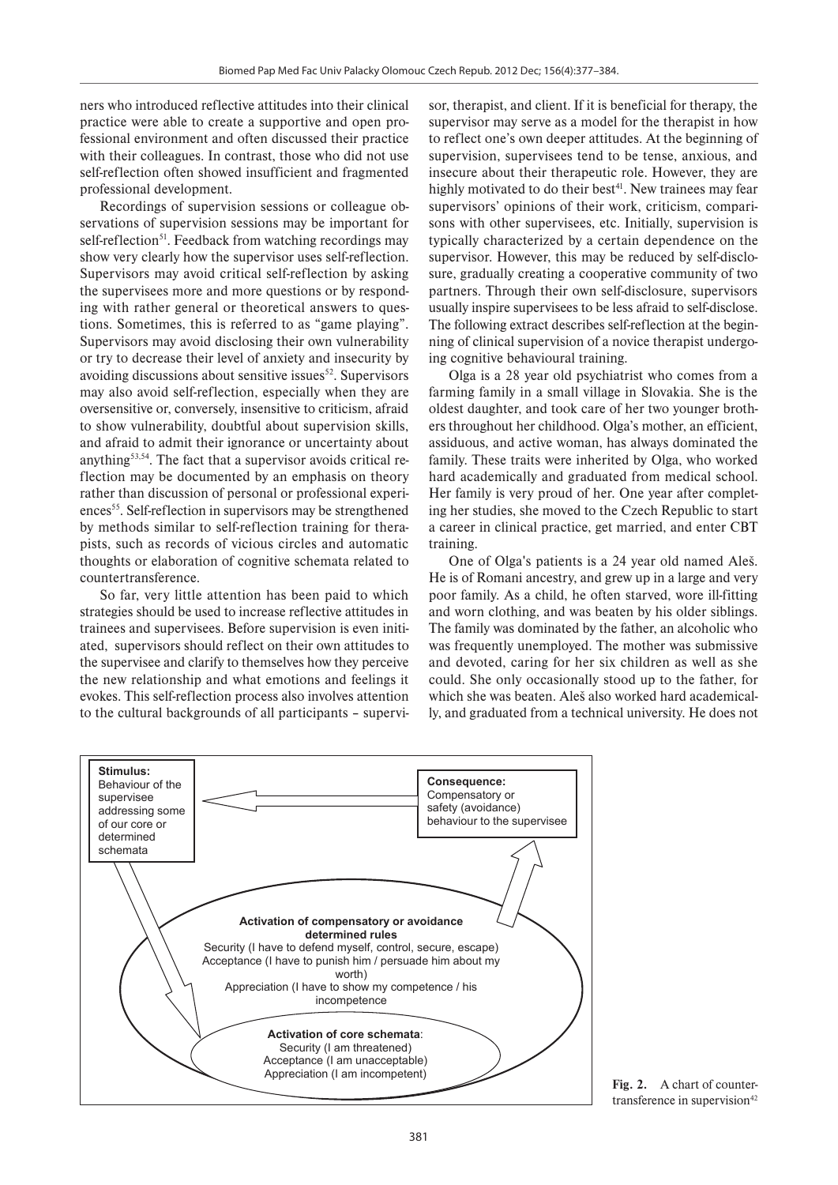ners who introduced reflective attitudes into their clinical practice were able to create a supportive and open professional environment and often discussed their practice with their colleagues. In contrast, those who did not use self-reflection often showed insufficient and fragmented professional development.

Recordings of supervision sessions or colleague observations of supervision sessions may be important for self-reflection<sup>51</sup>. Feedback from watching recordings may show very clearly how the supervisor uses self-reflection. Supervisors may avoid critical self-reflection by asking the supervisees more and more questions or by responding with rather general or theoretical answers to questions. Sometimes, this is referred to as "game playing". Supervisors may avoid disclosing their own vulnerability or try to decrease their level of anxiety and insecurity by avoiding discussions about sensitive issues $52$ . Supervisors may also avoid self-reflection, especially when they are oversensitive or, conversely, insensitive to criticism, afraid to show vulnerability, doubtful about supervision skills, and afraid to admit their ignorance or uncertainty about anything53,54. The fact that a supervisor avoids critical reflection may be documented by an emphasis on theory rather than discussion of personal or professional experiences<sup>55</sup>. Self-reflection in supervisors may be strengthened by methods similar to self-reflection training for therapists, such as records of vicious circles and automatic thoughts or elaboration of cognitive schemata related to countertransference.

So far, very little attention has been paid to which strategies should be used to increase reflective attitudes in trainees and supervisees. Before supervision is even initiated, supervisors should reflect on their own attitudes to the supervisee and clarify to themselves how they perceive the new relationship and what emotions and feelings it evokes. This self-reflection process also involves attention to the cultural backgrounds of all participants – supervi-

sor, therapist, and client. If it is beneficial for therapy, the supervisor may serve as a model for the therapist in how to reflect one's own deeper attitudes. At the beginning of supervision, supervisees tend to be tense, anxious, and insecure about their therapeutic role. However, they are highly motivated to do their best<sup>41</sup>. New trainees may fear supervisors' opinions of their work, criticism, comparisons with other supervisees, etc. Initially, supervision is typically characterized by a certain dependence on the supervisor. However, this may be reduced by self-disclosure, gradually creating a cooperative community of two partners. Through their own self-disclosure, supervisors usually inspire supervisees to be less afraid to self-disclose. The following extract describes self-reflection at the beginning of clinical supervision of a novice therapist undergoing cognitive behavioural training.

Olga is a 28 year old psychiatrist who comes from a farming family in a small village in Slovakia. She is the oldest daughter, and took care of her two younger brothers throughout her childhood. Olga's mother, an efficient, assiduous, and active woman, has always dominated the family. These traits were inherited by Olga, who worked hard academically and graduated from medical school. Her family is very proud of her. One year after completing her studies, she moved to the Czech Republic to start a career in clinical practice, get married, and enter CBT training.

One of Olga's patients is a 24 year old named Aleš. He is of Romani ancestry, and grew up in a large and very poor family. As a child, he often starved, wore ill-fitting and worn clothing, and was beaten by his older siblings. The family was dominated by the father, an alcoholic who was frequently unemployed. The mother was submissive and devoted, caring for her six children as well as she could. She only occasionally stood up to the father, for which she was beaten. Aleš also worked hard academically, and graduated from a technical university. He does not



**Fig. 2.** A chart of countertransference in supervision $42$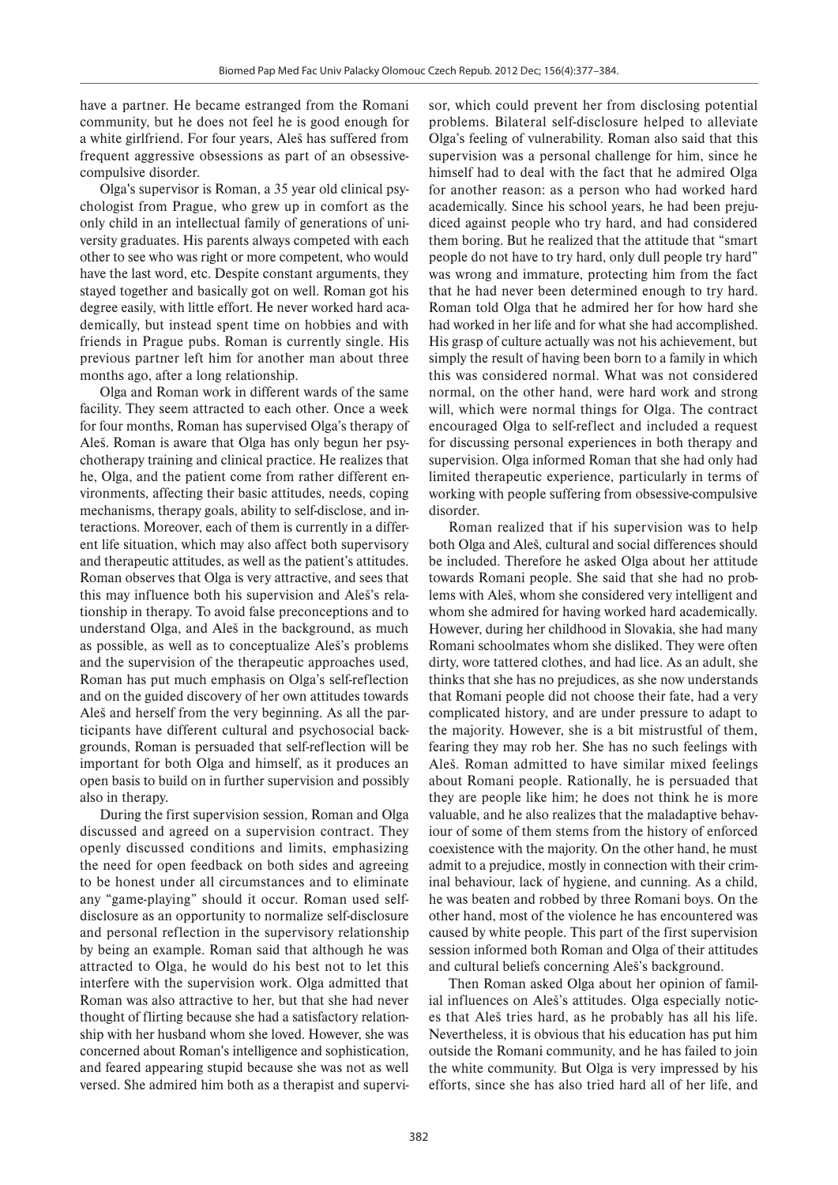have a partner. He became estranged from the Romani community, but he does not feel he is good enough for a white girlfriend. For four years, Aleš has suffered from frequent aggressive obsessions as part of an obsessivecompulsive disorder.

Olga's supervisor is Roman, a 35 year old clinical psychologist from Prague, who grew up in comfort as the only child in an intellectual family of generations of university graduates. His parents always competed with each other to see who was right or more competent, who would have the last word, etc. Despite constant arguments, they stayed together and basically got on well. Roman got his degree easily, with little effort. He never worked hard academically, but instead spent time on hobbies and with friends in Prague pubs. Roman is currently single. His previous partner left him for another man about three months ago, after a long relationship.

Olga and Roman work in different wards of the same facility. They seem attracted to each other. Once a week for four months, Roman has supervised Olga's therapy of Aleš. Roman is aware that Olga has only begun her psychotherapy training and clinical practice. He realizes that he, Olga, and the patient come from rather different environments, affecting their basic attitudes, needs, coping mechanisms, therapy goals, ability to self-disclose, and interactions. Moreover, each of them is currently in a different life situation, which may also affect both supervisory and therapeutic attitudes, as well as the patient's attitudes. Roman observes that Olga is very attractive, and sees that this may influence both his supervision and Aleš's relationship in therapy. To avoid false preconceptions and to understand Olga, and Aleš in the background, as much as possible, as well as to conceptualize Aleš's problems and the supervision of the therapeutic approaches used, Roman has put much emphasis on Olga's self-reflection and on the guided discovery of her own attitudes towards Aleš and herself from the very beginning. As all the participants have different cultural and psychosocial backgrounds, Roman is persuaded that self-reflection will be important for both Olga and himself, as it produces an open basis to build on in further supervision and possibly also in therapy.

During the first supervision session, Roman and Olga discussed and agreed on a supervision contract. They openly discussed conditions and limits, emphasizing the need for open feedback on both sides and agreeing to be honest under all circumstances and to eliminate any "game-playing" should it occur. Roman used selfdisclosure as an opportunity to normalize self-disclosure and personal reflection in the supervisory relationship by being an example. Roman said that although he was attracted to Olga, he would do his best not to let this interfere with the supervision work. Olga admitted that Roman was also attractive to her, but that she had never thought of flirting because she had a satisfactory relationship with her husband whom she loved. However, she was concerned about Roman's intelligence and sophistication, and feared appearing stupid because she was not as well versed. She admired him both as a therapist and supervisor, which could prevent her from disclosing potential problems. Bilateral self-disclosure helped to alleviate Olga's feeling of vulnerability. Roman also said that this supervision was a personal challenge for him, since he himself had to deal with the fact that he admired Olga for another reason: as a person who had worked hard academically. Since his school years, he had been prejudiced against people who try hard, and had considered them boring. But he realized that the attitude that "smart people do not have to try hard, only dull people try hard" was wrong and immature, protecting him from the fact that he had never been determined enough to try hard. Roman told Olga that he admired her for how hard she had worked in her life and for what she had accomplished. His grasp of culture actually was not his achievement, but simply the result of having been born to a family in which this was considered normal. What was not considered normal, on the other hand, were hard work and strong will, which were normal things for Olga. The contract encouraged Olga to self-reflect and included a request for discussing personal experiences in both therapy and supervision. Olga informed Roman that she had only had limited therapeutic experience, particularly in terms of working with people suffering from obsessive-compulsive disorder.

Roman realized that if his supervision was to help both Olga and Aleš, cultural and social differences should be included. Therefore he asked Olga about her attitude towards Romani people. She said that she had no problems with Aleš, whom she considered very intelligent and whom she admired for having worked hard academically. However, during her childhood in Slovakia, she had many Romani schoolmates whom she disliked. They were often dirty, wore tattered clothes, and had lice. As an adult, she thinks that she has no prejudices, as she now understands that Romani people did not choose their fate, had a very complicated history, and are under pressure to adapt to the majority. However, she is a bit mistrustful of them, fearing they may rob her. She has no such feelings with Aleš. Roman admitted to have similar mixed feelings about Romani people. Rationally, he is persuaded that they are people like him; he does not think he is more valuable, and he also realizes that the maladaptive behaviour of some of them stems from the history of enforced coexistence with the majority. On the other hand, he must admit to a prejudice, mostly in connection with their criminal behaviour, lack of hygiene, and cunning. As a child, he was beaten and robbed by three Romani boys. On the other hand, most of the violence he has encountered was caused by white people. This part of the first supervision session informed both Roman and Olga of their attitudes and cultural beliefs concerning Aleš's background.

Then Roman asked Olga about her opinion of familial influences on Aleš's attitudes. Olga especially notices that Aleš tries hard, as he probably has all his life. Nevertheless, it is obvious that his education has put him outside the Romani community, and he has failed to join the white community. But Olga is very impressed by his efforts, since she has also tried hard all of her life, and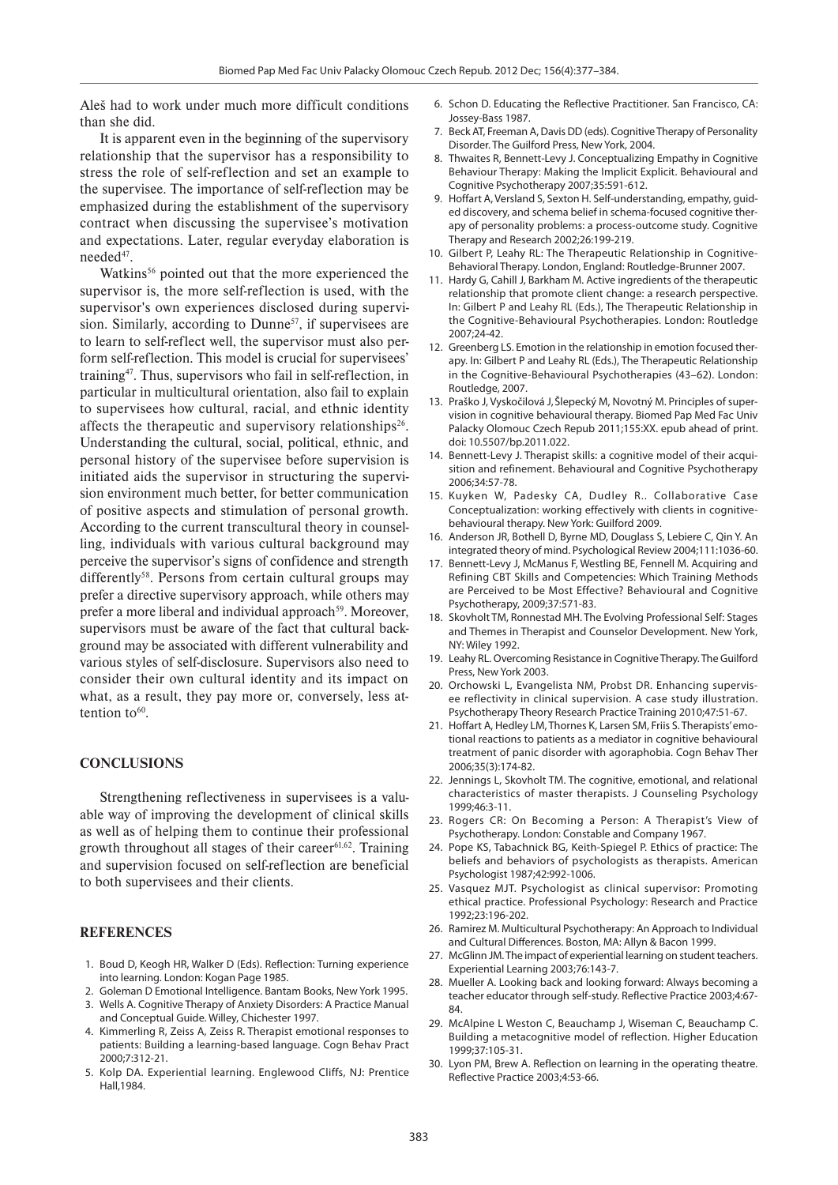Aleš had to work under much more difficult conditions than she did.

It is apparent even in the beginning of the supervisory relationship that the supervisor has a responsibility to stress the role of self-reflection and set an example to the supervisee. The importance of self-reflection may be emphasized during the establishment of the supervisory contract when discussing the supervisee's motivation and expectations. Later, regular everyday elaboration is needed<sup>47</sup>.

Watkins<sup>56</sup> pointed out that the more experienced the supervisor is, the more self-reflection is used, with the supervisor's own experiences disclosed during supervision. Similarly, according to Dunne<sup>57</sup>, if supervisees are to learn to self-reflect well, the supervisor must also perform self-reflection. This model is crucial for supervisees' training<sup>47</sup>. Thus, supervisors who fail in self-reflection, in particular in multicultural orientation, also fail to explain to supervisees how cultural, racial, and ethnic identity affects the therapeutic and supervisory relationships<sup>26</sup>. Understanding the cultural, social, political, ethnic, and personal history of the supervisee before supervision is initiated aids the supervisor in structuring the supervision environment much better, for better communication of positive aspects and stimulation of personal growth. According to the current transcultural theory in counselling, individuals with various cultural background may perceive the supervisor's signs of confidence and strength differently<sup>58</sup>. Persons from certain cultural groups may prefer a directive supervisory approach, while others may prefer a more liberal and individual approach<sup>59</sup>. Moreover, supervisors must be aware of the fact that cultural background may be associated with different vulnerability and various styles of self-disclosure. Supervisors also need to consider their own cultural identity and its impact on what, as a result, they pay more or, conversely, less attention to $60$ .

### **CONCLUSIONS**

Strengthening reflectiveness in supervisees is a valuable way of improving the development of clinical skills as well as of helping them to continue their professional growth throughout all stages of their career<sup>61,62</sup>. Training and supervision focused on self-reflection are beneficial to both supervisees and their clients.

### **REFERENCES**

- 1. Boud D, Keogh HR, Walker D (Eds). Reflection: Turning experience into learning. London: Kogan Page 1985.
- 2. Goleman D Emotional Intelligence. Bantam Books, New York 1995.
- 3. Wells A. Cognitive Therapy of Anxiety Disorders: A Practice Manual and Conceptual Guide. Willey, Chichester 1997.
- 4. Kimmerling R, Zeiss A, Zeiss R. Therapist emotional responses to patients: Building a learning-based language. Cogn Behav Pract 2000;7:312-21.
- 5. Kolp DA. Experiential learning. Englewood Cliffs, NJ: Prentice Hall,1984.
- 6. Schon D. Educating the Reflective Practitioner. San Francisco, CA: Jossey-Bass 1987.
- 7. Beck AT, Freeman A, Davis DD (eds). Cognitive Therapy of Personality Disorder. The Guilford Press, New York, 2004.
- 8. Thwaites R, Bennett-Levy J. Conceptualizing Empathy in Cognitive Behaviour Therapy: Making the Implicit Explicit. Behavioural and Cognitive Psychotherapy 2007;35:591-612.
- 9. Hoffart A, Versland S, Sexton H. Self-understanding, empathy, guided discovery, and schema belief in schema-focused cognitive therapy of personality problems: a process-outcome study. Cognitive Therapy and Research 2002;26:199-219.
- 10. Gilbert P, Leahy RL: The Therapeutic Relationship in Cognitive-Behavioral Therapy. London, England: Routledge-Brunner 2007.
- 11. Hardy G, Cahill J, Barkham M. Active ingredients of the therapeutic relationship that promote client change: a research perspective. In: Gilbert P and Leahy RL (Eds.), The Therapeutic Relationship in the Cognitive-Behavioural Psychotherapies. London: Routledge 2007;24-42.
- 12. Greenberg LS. Emotion in the relationship in emotion focused therapy. In: Gilbert P and Leahy RL (Eds.), The Therapeutic Relationship in the Cognitive-Behavioural Psychotherapies (43–62). London: Routledge, 2007.
- 13. Praško J, Vyskočilová J,Šlepecký M, Novotný M. Principles of supervision in cognitive behavioural therapy. Biomed Pap Med Fac Univ Palacky Olomouc Czech Repub 2011;155:XX. epub ahead of print. doi: 10.5507/bp.2011.022.
- 14. Bennett-Levy J. Therapist skills: a cognitive model of their acquisition and refinement. Behavioural and Cognitive Psychotherapy 2006;34:57-78.
- 15. Kuyken W, Padesky CA, Dudley R.. Collaborative Case Conceptualization: working effectively with clients in cognitivebehavioural therapy. New York: Guilford 2009.
- 16. Anderson JR, Bothell D, Byrne MD, Douglass S, Lebiere C, Qin Y. An integrated theory of mind. Psychological Review 2004;111:1036-60.
- 17. Bennett-Levy J, McManus F, Westling BE, Fennell M. Acquiring and Refining CBT Skills and Competencies: Which Training Methods are Perceived to be Most Effective? Behavioural and Cognitive Psychotherapy, 2009;37:571-83.
- 18. Skovholt TM, Ronnestad MH. The Evolving Professional Self: Stages and Themes in Therapist and Counselor Development. New York, NY: Wiley 1992.
- 19. Leahy RL. Overcoming Resistance in Cognitive Therapy. The Guilford Press, New York 2003.
- 20. Orchowski L, Evangelista NM, Probst DR. Enhancing supervisee reflectivity in clinical supervision. A case study illustration. Psychotherapy Theory Research Practice Training 2010;47:51-67.
- 21. Hoffart A, Hedley LM, Thornes K, Larsen SM, Friis S. Therapists' emotional reactions to patients as a mediator in cognitive behavioural treatment of panic disorder with agoraphobia. Cogn Behav Ther 2006;35(3):174-82.
- 22. Jennings L, Skovholt TM. The cognitive, emotional, and relational characteristics of master therapists. J Counseling Psychology 1999;46:3-11.
- 23. Rogers CR: On Becoming a Person: A Therapist's View of Psychotherapy. London: Constable and Company 1967.
- 24. Pope KS, Tabachnick BG, Keith-Spiegel P. Ethics of practice: The beliefs and behaviors of psychologists as therapists. American Psychologist 1987;42:992-1006.
- 25. Vasquez MJT. Psychologist as clinical supervisor: Promoting ethical practice. Professional Psychology: Research and Practice 1992;23:196-202.
- 26. Ramirez M. Multicultural Psychotherapy: An Approach to Individual and Cultural Differences. Boston, MA: Allyn & Bacon 1999.
- 27. McGlinn JM. The impact of experiential learning on student teachers. Experiential Learning 2003;76:143-7.
- 28. Mueller A. Looking back and looking forward: Always becoming a teacher educator through self-study. Reflective Practice 2003;4:67- 84.
- 29. McAlpine L Weston C, Beauchamp J, Wiseman C, Beauchamp C. Building a metacognitive model of reflection. Higher Education 1999;37:105-31.
- 30. Lyon PM, Brew A. Reflection on learning in the operating theatre. Reflective Practice 2003;4:53-66.